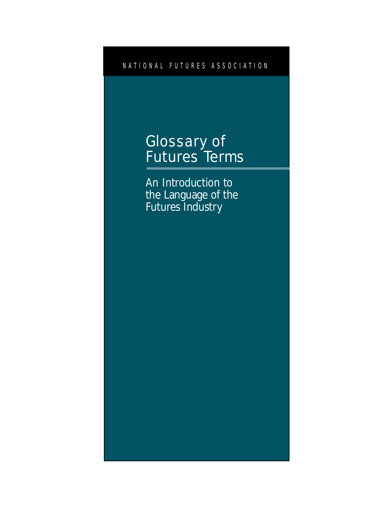NATIONAL FUTURES ASSOCIATION

# Glossary of Futures Terms

An Introduction to the Language of the Futures Industry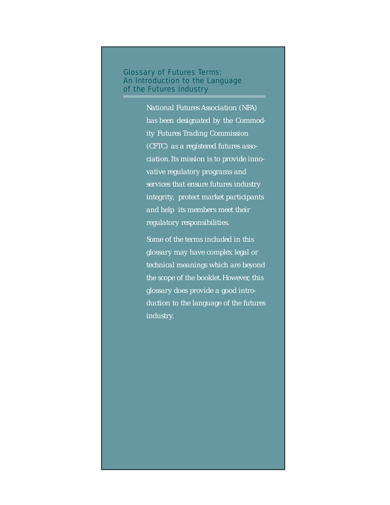Glossary of Futures Terms: An Introduction to the Language of the Futures Industry

> *National Futures Association (NFA) has been designated by the Commodity Futures Trading Commission (CFTC) as a registered futures association. Its mission is to provide innovative regulatory programs and services that ensure futures industry integrity, protect market participants and help its members meet their regulatory responsibilities.*

> *Some of the terms included in this glossary may have complex legal or technical meanings which are beyond the scope of the booklet. However, this glossary does provide a good introduction to the language of the futures industry.*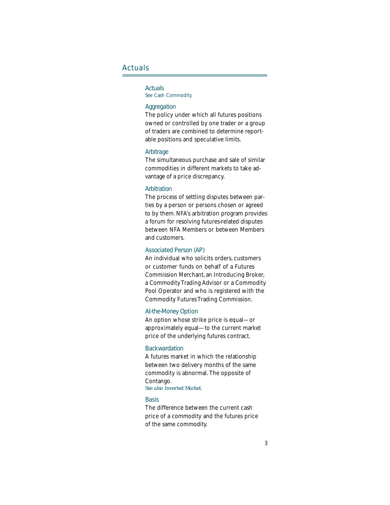### Actuals

### **Actuals**

See Cash Commodity.

### **Aggregation**

The policy under which all futures positions owned or controlled by one trader or a group of traders are combined to determine reportable positions and speculative limits.

### Arbitrage

The simultaneous purchase and sale of similar commodities in different markets to take advantage of a price discrepancy.

### **Arbitration**

The process of settling disputes between parties by a person or persons chosen or agreed to by them. NFA's arbitration program provides a forum for resolving futures-related disputes between NFA Members or between Members and customers.

### Associated Person (AP)

An individual who solicits orders, customers or customer funds on behalf of a Futures Commission Merchant, an Introducing Broker, a Commodity Trading Advisor or a Commodity Pool Operator and who is registered with the Commodity Futures Trading Commission.

### At-the-Money Option

An option whose strike price is equal—or approximately equal—to the current market price of the underlying futures contract.

### **Backwardation**

A futures market in which the relationship between two delivery months of the same commodity is abnormal. The opposite of Contango.

### *See also Inverted Market.*

### **Basis**

The difference between the current cash price of a commodity and the futures price of the same commodity.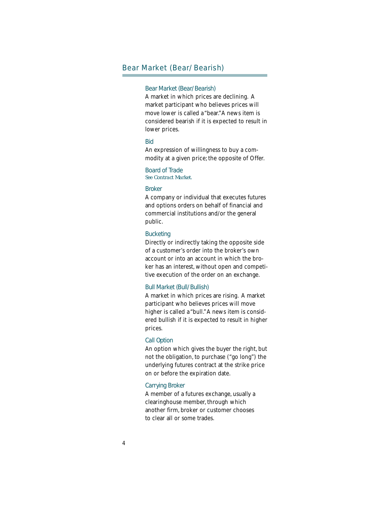### Bear Market (Bear/Bearish)

### Bear Market (Bear/Bearish)

A market in which prices are declining. A market participant who believes prices will move lower is called a "bear."A news item is considered bearish if it is expected to result in lower prices.

### Bid

An expression of willingness to buy a commodity at a given price; the opposite of Offer.

### Board of Trade *See Contract Market.*

### Broker

A company or individual that executes futures and options orders on behalf of financial and commercial institutions and/or the general public.

#### **Bucketing**

Directly or indirectly taking the opposite side of a customer's order into the broker's own account or into an account in which the broker has an interest, without open and competitive execution of the order on an exchange.

### Bull Market (Bull/Bullish)

A market in which prices are rising. A market participant who believes prices will move higher is called a "bull." A news item is considered bullish if it is expected to result in higher prices.

### Call Option

An option which gives the buyer the right, but not the obligation, to purchase ("go long") the underlying futures contract at the strike price on or before the expiration date.

### Carrying Broker

A member of a futures exchange, usually a clearinghouse member, through which another firm, broker or customer chooses to clear all or some trades.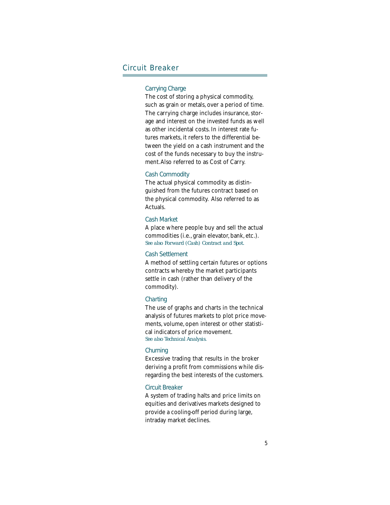### Circuit Breaker

### Carrying Charge

The cost of storing a physical commodity, such as grain or metals, over a period of time. The carrying charge includes insurance, storage and interest on the invested funds as well as other incidental costs. In interest rate futures markets, it refers to the differential between the yield on a cash instrument and the cost of the funds necessary to buy the instrument. Also referred to as Cost of Carry.

#### Cash Commodity

The actual physical commodity as distinguished from the futures contract based on the physical commodity. Also referred to as Actuals.

### Cash Market

A place where people buy and sell the actual commodities (i.e., grain elevator, bank, etc.). *See also Forward (Cash) Contract and Spot.*

### Cash Settlement

A method of settling certain futures or options contracts whereby the market participants settle in cash (rather than delivery of the commodity).

#### **Charting**

The use of graphs and charts in the technical analysis of futures markets to plot price movements, volume, open interest or other statistical indicators of price movement. *See also Technical Analysis.*

### **Churning**

Excessive trading that results in the broker deriving a profit from commissions while disregarding the best interests of the customers.

### Circuit Breaker

A system of trading halts and price limits on equities and derivatives markets designed to provide a cooling-off period during large, intraday market declines.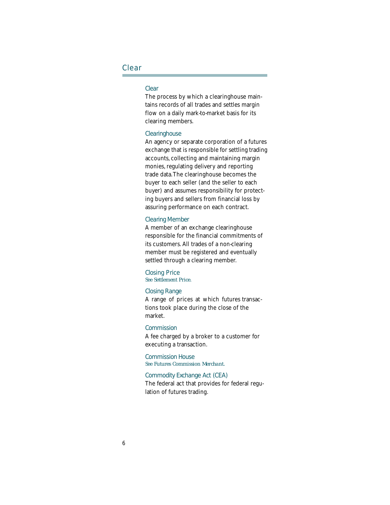### Clear

### Clear

The process by which a clearinghouse maintains records of all trades and settles margin flow on a daily mark-to-market basis for its clearing members.

### **Clearinghouse**

An agency or separate corporation of a futures exchange that is responsible for settling trading accounts, collecting and maintaining margin monies, regulating delivery and reporting trade data. The clearinghouse becomes the buyer to each seller (and the seller to each buyer) and assumes responsibility for protecting buyers and sellers from financial loss by assuring performance on each contract.

### Clearing Member

A member of an exchange clearinghouse responsible for the financial commitments of its customers. All trades of a non-clearing member must be registered and eventually settled through a clearing member.

### Closing Price *See Settlement Price.*

### Closing Range

A range of prices at which futures transactions took place during the close of the market.

#### **Commission**

A fee charged by a broker to a customer for executing a transaction.

Commission House *See Futures Commission Merchant.*

### Commodity Exchange Act (CEA)

The federal act that provides for federal regulation of futures trading.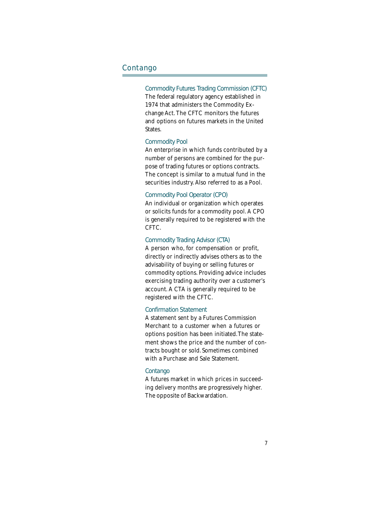### Contango

### Commodity Futures Trading Commission (CFTC)

The federal regulatory agency established in 1974 that administers the Commodity Exchange Act. The CFTC monitors the futures and options on futures markets in the United States.

### Commodity Pool

An enterprise in which funds contributed by a number of persons are combined for the purpose of trading futures or options contracts. The concept is similar to a mutual fund in the securities industry. Also referred to as a Pool.

### Commodity Pool Operator (CPO)

An individual or organization which operates or solicits funds for a commodity pool. A CPO is generally required to be registered with the CFTC.

### Commodity Trading Advisor (CTA)

A person who, for compensation or profit, directly or indirectly advises others as to the advisability of buying or selling futures or commodity options. Providing advice includes exercising trading authority over a customer's account. A CTA is generally required to be registered with the CFTC.

### Confirmation Statement

A statement sent by a Futures Commission Merchant to a customer when a futures or options position has been initiated. The statement shows the price and the number of contracts bought or sold. Sometimes combined with a Purchase and Sale Statement.

#### Contango

A futures market in which prices in succeeding delivery months are progressively higher. The opposite of Backwardation.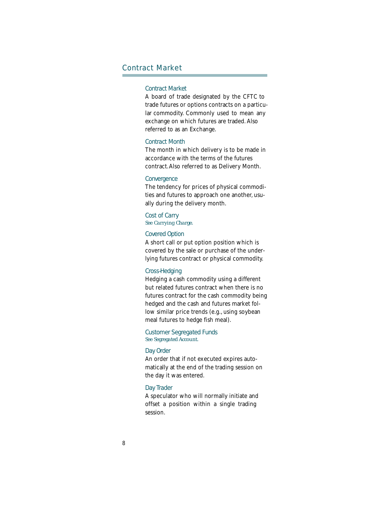### Contract Market

### Contract Market

A board of trade designated by the CFTC to trade futures or options contracts on a particular commodity. Commonly used to mean any exchange on which futures are traded. Also referred to as an Exchange.

### Contract Month

The month in which delivery is to be made in accordance with the terms of the futures contract.Also referred to as Delivery Month.

### **Convergence**

The tendency for prices of physical commodities and futures to approach one another, usually during the delivery month.

Cost of Carry *See Carrying Charge.*

### Covered Option

A short call or put option position which is covered by the sale or purchase of the underlying futures contract or physical commodity.

### Cross-Hedging

Hedging a cash commodity using a different but related futures contract when there is no futures contract for the cash commodity being hedged and the cash and futures market follow similar price trends (e.g., using soybean meal futures to hedge fish meal).

Customer Segregated Funds *See Segregated Account.*

### Day Order

An order that if not executed expires automatically at the end of the trading session on the day it was entered.

### Day Trader

A speculator who will normally initiate and offset a position within a single trading session.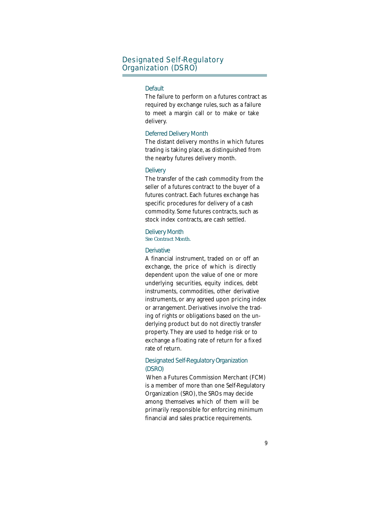### Designated Self-Regulatory Organization (DSRO)

### **Default**

The failure to perform on a futures contract as required by exchange rules, such as a failure to meet a margin call or to make or take delivery.

### Deferred Delivery Month

The distant delivery months in which futures trading is taking place, as distinguished from the nearby futures delivery month.

### **Delivery**

The transfer of the cash commodity from the seller of a futures contract to the buyer of a futures contract. Each futures exchange has specific procedures for delivery of a cash commodity. Some futures contracts, such as stock index contracts, are cash settled.

### Delivery Month

*See Contract Month.*

### **Derivative**

A financial instrument, traded on or off an exchange, the price of which is directly dependent upon the value of one or more underlying securities, equity indices, debt instruments, commodities, other derivative instruments, or any agreed upon pricing index or arrangement. Derivatives involve the trading of rights or obligations based on the underlying product but do not directly transfer property. They are used to hedge risk or to exchange a floating rate of return for a fixed rate of return.

### Designated Self-Regulatory Organization (DSRO)

 When a Futures Commission Merchant (FCM) is a member of more than one Self-Regulatory Organization (SRO), the SROs may decide among themselves which of them will be primarily responsible for enforcing minimum financial and sales practice requirements.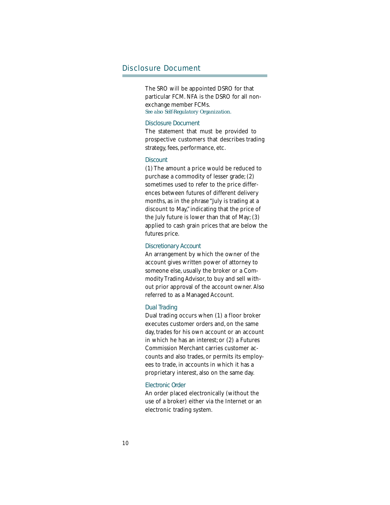### Disclosure Document

The SRO will be appointed DSRO for that particular FCM. NFA is the DSRO for all nonexchange member FCMs. *See also Self-Regulatory Organization.*

### Disclosure Document

The statement that must be provided to prospective customers that describes trading strategy, fees, performance, etc.

### **Discount**

(1) The amount a price would be reduced to purchase a commodity of lesser grade; (2) sometimes used to refer to the price differences between futures of different delivery months, as in the phrase "July is trading at a discount to May," indicating that the price of the July future is lower than that of May; (3) applied to cash grain prices that are below the futures price.

### Discretionary Account

An arrangement by which the owner of the account gives written power of attorney to someone else, usually the broker or a Commodity Trading Advisor, to buy and sell without prior approval of the account owner. Also referred to as a Managed Account.

### Dual Trading

Dual trading occurs when (1) a floor broker executes customer orders and, on the same day, trades for his own account or an account in which he has an interest; or (2) a Futures Commission Merchant carries customer accounts and also trades, or permits its employees to trade, in accounts in which it has a proprietary interest, also on the same day.

### Electronic Order

An order placed electronically (without the use of a broker) either via the Internet or an electronic trading system.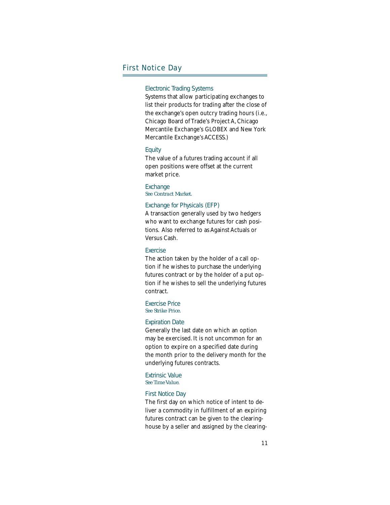### First Notice Day

### Electronic Trading Systems

Systems that allow participating exchanges to list their products for trading after the close of the exchange's open outcry trading hours (i.e., Chicago Board of Trade's Project A, Chicago Mercantile Exchange's GLOBEX and New York Mercantile Exchange's ACCESS.)

### **Equity**

The value of a futures trading account if all open positions were offset at the current market price.

#### **Exchange** *See Contract Market.*

#### Exchange for Physicals (EFP)

A transaction generally used by two hedgers who want to exchange futures for cash positions. Also referred to as Against Actuals or Versus Cash.

### **Exercise**

The action taken by the holder of a call option if he wishes to purchase the underlying futures contract or by the holder of a put option if he wishes to sell the underlying futures contract.

### Exercise Price *See Strike Price.*

### Expiration Date

Generally the last date on which an option may be exercised. It is not uncommon for an option to expire on a specified date during the month prior to the delivery month for the underlying futures contracts.

### Extrinsic Value *See Time Value.*

#### First Notice Day

The first day on which notice of intent to deliver a commodity in fulfillment of an expiring futures contract can be given to the clearinghouse by a seller and assigned by the clearing-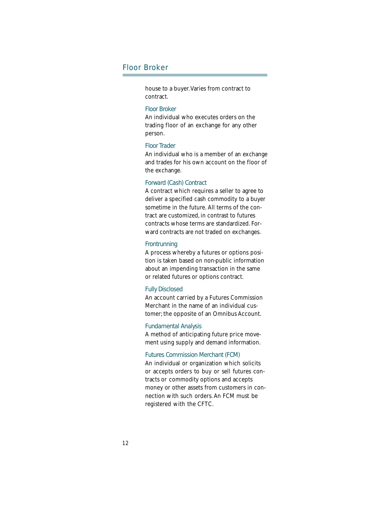### Floor Broker

house to a buyer. Varies from contract to contract.

### Floor Broker

An individual who executes orders on the trading floor of an exchange for any other person.

#### Floor Trader

An individual who is a member of an exchange and trades for his own account on the floor of the exchange.

### Forward (Cash) Contract

A contract which requires a seller to agree to deliver a specified cash commodity to a buyer sometime in the future. All terms of the contract are customized, in contrast to futures contracts whose terms are standardized. Forward contracts are not traded on exchanges.

### **Frontrunning**

A process whereby a futures or options position is taken based on non-public information about an impending transaction in the same or related futures or options contract.

### Fully Disclosed

An account carried by a Futures Commission Merchant in the name of an individual customer; the opposite of an Omnibus Account.

### Fundamental Analysis

A method of anticipating future price movement using supply and demand information.

### Futures Commission Merchant (FCM)

An individual or organization which solicits or accepts orders to buy or sell futures contracts or commodity options and accepts money or other assets from customers in connection with such orders. An FCM must be registered with the CFTC.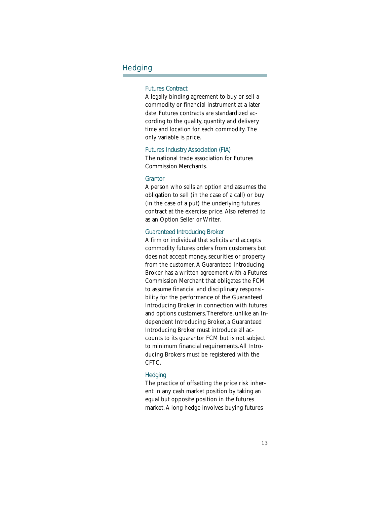### **Hedging**

### Futures Contract

A legally binding agreement to buy or sell a commodity or financial instrument at a later date. Futures contracts are standardized according to the quality, quantity and delivery time and location for each commodity. The only variable is price.

#### Futures Industry Association (FIA)

The national trade association for Futures Commission Merchants.

### **Grantor**

A person who sells an option and assumes the obligation to sell (in the case of a call) or buy (in the case of a put) the underlying futures contract at the exercise price. Also referred to as an Option Seller or Writer.

### Guaranteed Introducing Broker

A firm or individual that solicits and accepts commodity futures orders from customers but does not accept money, securities or property from the customer. A Guaranteed Introducing Broker has a written agreement with a Futures Commission Merchant that obligates the FCM to assume financial and disciplinary responsibility for the performance of the Guaranteed Introducing Broker in connection with futures and options customers. Therefore, unlike an Independent Introducing Broker, a Guaranteed Introducing Broker must introduce all accounts to its guarantor FCM but is not subject to minimum financial requirements. All Introducing Brokers must be registered with the CFTC.

### **Hedging**

The practice of offsetting the price risk inherent in any cash market position by taking an equal but opposite position in the futures market. A long hedge involves buying futures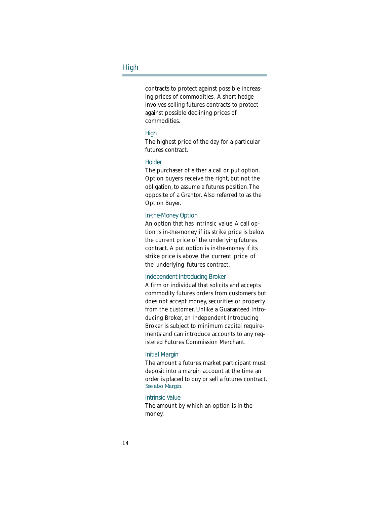### High

contracts to protect against possible increasing prices of commodities. A short hedge involves selling futures contracts to protect against possible declining prices of commodities.

### **High**

The highest price of the day for a particular futures contract.

### **Holder**

The purchaser of either a call or put option. Option buyers receive the right, but not the obligation, to assume a futures position. The opposite of a Grantor. Also referred to as the Option Buyer.

### In-the-Money Option

An option that has intrinsic value. A call option is in-the-money if its strike price is below the current price of the underlying futures contract. A put option is in-the-money if its strike price is above the current price of the underlying futures contract.

### Independent Introducing Broker

A firm or individual that solicits and accepts commodity futures orders from customers but does not accept money, securities or property from the customer. Unlike a Guaranteed Introducing Broker, an Independent Introducing Broker is subject to minimum capital requirements and can introduce accounts to any registered Futures Commission Merchant.

#### Initial Margin

The amount a futures market participant must deposit into a margin account at the time an order is placed to buy or sell a futures contract. *See also Margin.*

### Intrinsic Value

The amount by which an option is in-themoney.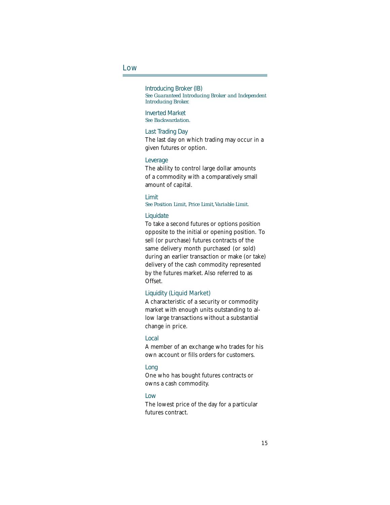### Low

Introducing Broker (IB) *See Guaranteed Introducing Broker and Independent Introducing Broker.*

Inverted Market *See Backwardation.*

### Last Trading Day

The last day on which trading may occur in a given futures or option.

### Leverage

The ability to control large dollar amounts of a commodity with a comparatively small amount of capital.

#### Limit *See Position Limit, Price Limit, Variable Limit.*

#### **Liquidate**

To take a second futures or options position opposite to the initial or opening position. To sell (or purchase) futures contracts of the same delivery month purchased (or sold) during an earlier transaction or make (or take) delivery of the cash commodity represented by the futures market. Also referred to as Offset.

### Liquidity (Liquid Market)

A characteristic of a security or commodity market with enough units outstanding to allow large transactions without a substantial change in price.

#### Local

A member of an exchange who trades for his own account or fills orders for customers.

### Long

One who has bought futures contracts or owns a cash commodity.

### Low

The lowest price of the day for a particular futures contract.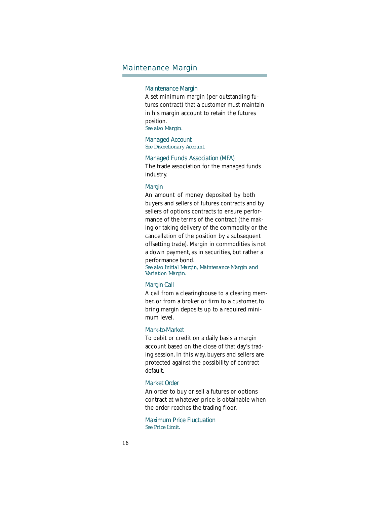### Maintenance Margin

### Maintenance Margin

A set minimum margin (per outstanding futures contract) that a customer must maintain in his margin account to retain the futures position.

*See also Margin.*

Managed Account *See Discretionary Account.*

Managed Funds Association (MFA)

The trade association for the managed funds industry.

### **Margin**

An amount of money deposited by both buyers and sellers of futures contracts and by sellers of options contracts to ensure performance of the terms of the contract (the making or taking delivery of the commodity or the cancellation of the position by a subsequent offsetting trade). Margin in commodities is not a down payment, as in securities, but rather a performance bond.

*See also Initial Margin, Maintenance Margin and Variation Margin.*

### Margin Call

A call from a clearinghouse to a clearing member, or from a broker or firm to a customer, to bring margin deposits up to a required minimum level.

### Mark-to-Market

To debit or credit on a daily basis a margin account based on the close of that day's trading session. In this way, buyers and sellers are protected against the possibility of contract default.

### Market Order

An order to buy or sell a futures or options contract at whatever price is obtainable when the order reaches the trading floor.

Maximum Price Fluctuation *See Price Limit.*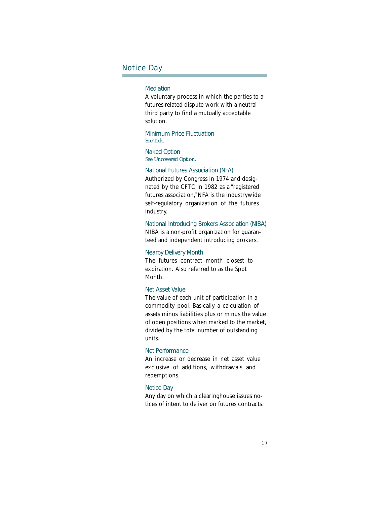### Notice Day

### Mediation

A voluntary process in which the parties to a futures-related dispute work with a neutral third party to find a mutually acceptable solution.

Minimum Price Fluctuation *See Tick.*

Naked Option *See Uncovered Option.*

### National Futures Association (NFA)

Authorized by Congress in 1974 and designated by the CFTC in 1982 as a "registered futures association," NFA is the industrywide self-regulatory organization of the futures industry.

#### National Introducing Brokers Association (NIBA)

NIBA is a non-profit organization for guaranteed and independent introducing brokers.

### Nearby Delivery Month

The futures contract month closest to expiration. Also referred to as the Spot Month.

### Net Asset Value

The value of each unit of participation in a commodity pool. Basically a calculation of assets minus liabilities plus or minus the value of open positions when marked to the market, divided by the total number of outstanding units.

### Net Performance

An increase or decrease in net asset value exclusive of additions, withdrawals and redemptions.

### Notice Day

Any day on which a clearinghouse issues notices of intent to deliver on futures contracts.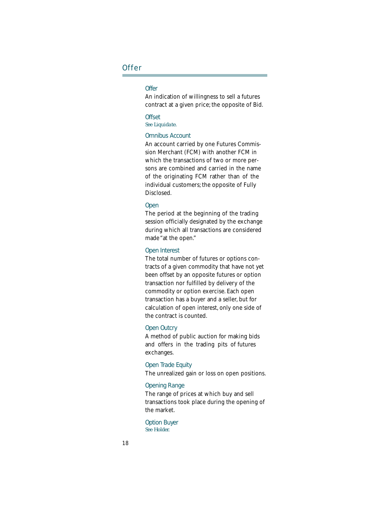### **Offer**

### **Offer**

An indication of willingness to sell a futures contract at a given price; the opposite of Bid.

#### **Offset** *See Liquidate.*

#### Omnibus Account

An account carried by one Futures Commission Merchant (FCM) with another FCM in which the transactions of two or more persons are combined and carried in the name of the originating FCM rather than of the individual customers; the opposite of Fully Disclosed.

### **Open**

The period at the beginning of the trading session officially designated by the exchange during which all transactions are considered made "at the open."

### Open Interest

The total number of futures or options contracts of a given commodity that have not yet been offset by an opposite futures or option transaction nor fulfilled by delivery of the commodity or option exercise. Each open transaction has a buyer and a seller, but for calculation of open interest, only one side of the contract is counted.

### Open Outcry

A method of public auction for making bids and offers in the trading pits of futures exchanges.

### Open Trade Equity

The unrealized gain or loss on open positions.

### Opening Range

The range of prices at which buy and sell transactions took place during the opening of the market.

Option Buyer *See Holder.*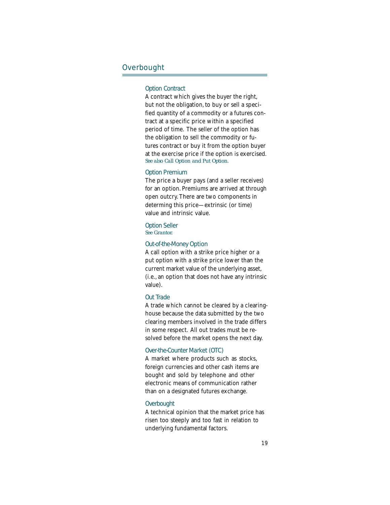### **Overbought**

### Option Contract

A contract which gives the buyer the right, but not the obligation, to buy or sell a specified quantity of a commodity or a futures contract at a specific price within a specified period of time. The seller of the option has the obligation to sell the commodity or futures contract or buy it from the option buyer at the exercise price if the option is exercised. *See also Call Option and Put Option.*

### Option Premium

The price a buyer pays (and a seller receives) for an option. Premiums are arrived at through open outcry. There are two components in determing this price—extrinsic (or time) value and intrinsic value.

## Option Seller

*See Grantor.*

### Out-of-the-Money Option

A call option with a strike price higher or a put option with a strike price lower than the current market value of the underlying asset, (i.e., an option that does not have any intrinsic value).

#### Out Trade

A trade which cannot be cleared by a clearinghouse because the data submitted by the two clearing members involved in the trade differs in some respect. All out trades must be resolved before the market opens the next day.

### Over-the-Counter Market (OTC)

A market where products such as stocks, foreign currencies and other cash items are bought and sold by telephone and other electronic means of communication rather than on a designated futures exchange.

### **Overbought**

A technical opinion that the market price has risen too steeply and too fast in relation to underlying fundamental factors.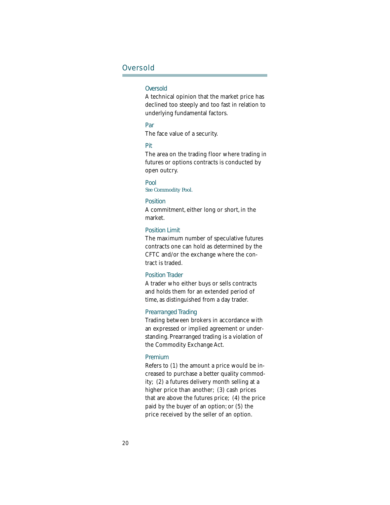### **Oversold**

### **Oversold**

A technical opinion that the market price has declined too steeply and too fast in relation to underlying fundamental factors.

### Par

The face value of a security.

### Pit

The area on the trading floor where trading in futures or options contracts is conducted by open outcry.

#### Pool

### *See Commodity Pool.*

### Position

A commitment, either long or short, in the market.

### Position Limit

The maximum number of speculative futures contracts one can hold as determined by the CFTC and/or the exchange where the contract is traded.

### Position Trader

A trader who either buys or sells contracts and holds them for an extended period of time, as distinguished from a day trader.

### Prearranged Trading

Trading between brokers in accordance with an expressed or implied agreement or understanding. Prearranged trading is a violation of the Commodity Exchange Act.

### Premium

Refers to (1) the amount a price would be increased to purchase a better quality commodity; (2) a futures delivery month selling at a higher price than another; (3) cash prices that are above the futures price; (4) the price paid by the buyer of an option; or (5) the price received by the seller of an option.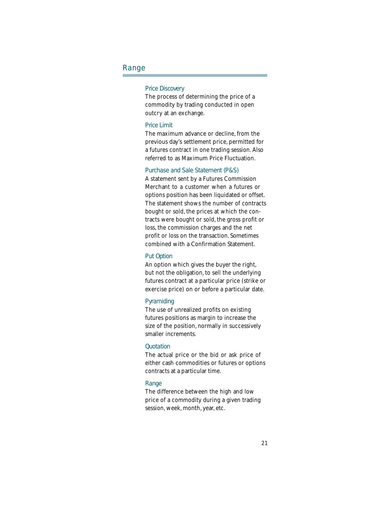### Range

### Price Discovery

The process of determining the price of a commodity by trading conducted in open outcry at an exchange.

### Price Limit

The maximum advance or decline, from the previous day's settlement price, permitted for a futures contract in one trading session. Also referred to as Maximum Price Fluctuation.

### Purchase and Sale Statement (P&S)

A statement sent by a Futures Commission Merchant to a customer when a futures or options position has been liquidated or offset. The statement shows the number of contracts bought or sold, the prices at which the contracts were bought or sold, the gross profit or loss, the commission charges and the net profit or loss on the transaction. Sometimes combined with a Confirmation Statement.

### Put Option

An option which gives the buyer the right, but not the obligation, to sell the underlying futures contract at a particular price (strike or exercise price) on or before a particular date.

### Pyramiding

The use of unrealized profits on existing futures positions as margin to increase the size of the position, normally in successively smaller increments.

### **Quotation**

The actual price or the bid or ask price of either cash commodities or futures or options contracts at a particular time.

#### Range

The difference between the high and low price of a commodity during a given trading session, week, month, year, etc.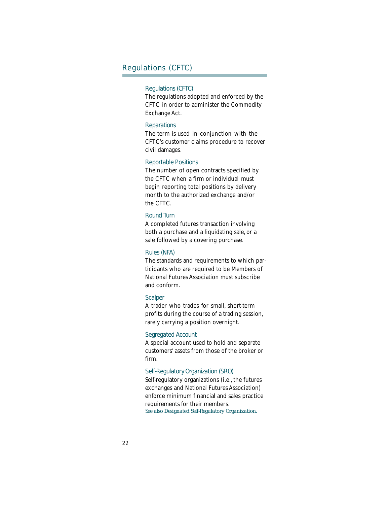### Regulations (CFTC)

### Regulations (CFTC)

The regulations adopted and enforced by the CFTC in order to administer the Commodity Exchange Act.

### **Reparations**

The term is used in conjunction with the CFTC's customer claims procedure to recover civil damages.

### Reportable Positions

The number of open contracts specified by the CFTC when a firm or individual must begin reporting total positions by delivery month to the authorized exchange and/or the CFTC.

### Round Turn

A completed futures transaction involving both a purchase and a liquidating sale, or a sale followed by a covering purchase.

### Rules (NFA)

The standards and requirements to which participants who are required to be Members of National Futures Association must subscribe and conform.

### **Scalper**

A trader who trades for small, short-term profits during the course of a trading session, rarely carrying a position overnight.

### Segregated Account

A special account used to hold and separate customers' assets from those of the broker or firm.

### Self-Regulatory Organization (SRO)

Self-regulatory organizations (i.e., the futures exchanges and National Futures Association) enforce minimum financial and sales practice requirements for their members. *See also Designated Self-Regulatory Organization.*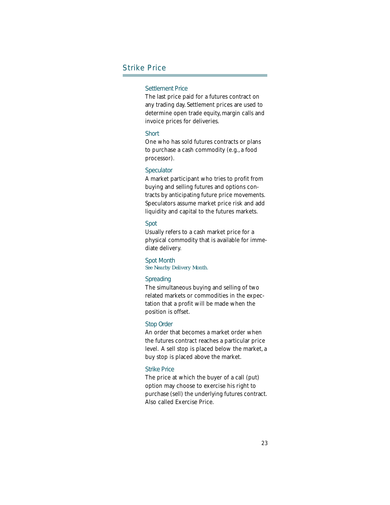### Strike Price

### Settlement Price

The last price paid for a futures contract on any trading day. Settlement prices are used to determine open trade equity, margin calls and invoice prices for deliveries.

### **Short**

One who has sold futures contracts or plans to purchase a cash commodity (e.g., a food processor).

### **Speculator**

A market participant who tries to profit from buying and selling futures and options contracts by anticipating future price movements. Speculators assume market price risk and add liquidity and capital to the futures markets.

### Spot

Usually refers to a cash market price for a physical commodity that is available for immediate delivery.

Spot Month *See Nearby Delivery Month.*

### **Spreading**

The simultaneous buying and selling of two related markets or commodities in the expectation that a profit will be made when the position is offset.

### Stop Order

An order that becomes a market order when the futures contract reaches a particular price level. A sell stop is placed below the market, a buy stop is placed above the market.

### Strike Price

The price at which the buyer of a call (put) option may choose to exercise his right to purchase (sell) the underlying futures contract. Also called Exercise Price.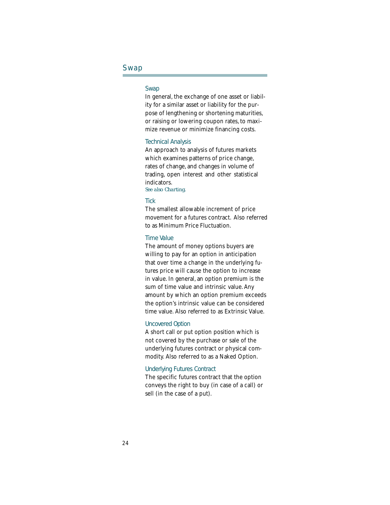### Swap

### Swap

In general, the exchange of one asset or liability for a similar asset or liability for the purpose of lengthening or shortening maturities, or raising or lowering coupon rates, to maximize revenue or minimize financing costs.

### Technical Analysis

An approach to analysis of futures markets which examines patterns of price change, rates of change, and changes in volume of trading, open interest and other statistical indicators. *See also Charting.*

### **Tick**

The smallest allowable increment of price movement for a futures contract. Also referred to as Minimum Price Fluctuation.

### Time Value

The amount of money options buyers are willing to pay for an option in anticipation that over time a change in the underlying futures price will cause the option to increase in value. In general, an option premium is the sum of time value and intrinsic value. Any amount by which an option premium exceeds the option's intrinsic value can be considered time value. Also referred to as Extrinsic Value.

### Uncovered Option

A short call or put option position which is not covered by the purchase or sale of the underlying futures contract or physical commodity. Also referred to as a Naked Option.

### Underlying Futures Contract

The specific futures contract that the option conveys the right to buy (in case of a call) or sell (in the case of a put).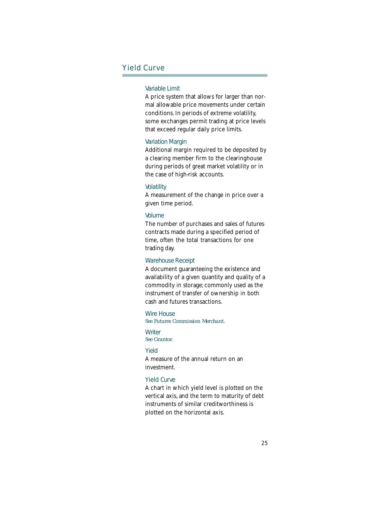### Yield Curve

### Variable Limit

A price system that allows for larger than normal allowable price movements under certain conditions. In periods of extreme volatility, some exchanges permit trading at price levels that exceed regular daily price limits.

### Variation Margin

Additional margin required to be deposited by a clearing member firm to the clearinghouse during periods of great market volatility or in the case of high-risk accounts.

#### **Volatility**

A measurement of the change in price over a given time period.

#### Volume

The number of purchases and sales of futures contracts made during a specified period of time, often the total transactions for one trading day.

### Warehouse Receipt

A document guaranteeing the existence and availability of a given quantity and quality of a commodity in storage; commonly used as the instrument of transfer of ownership in both cash and futures transactions.

### Wire House

*See Futures Commission Merchant.*

#### **Writer** *See Grantor.*

#### Yield

A measure of the annual return on an investment.

### Yield Curve

A chart in which yield level is plotted on the vertical axis, and the term to maturity of debt instruments of similar creditworthiness is plotted on the horizontal axis.